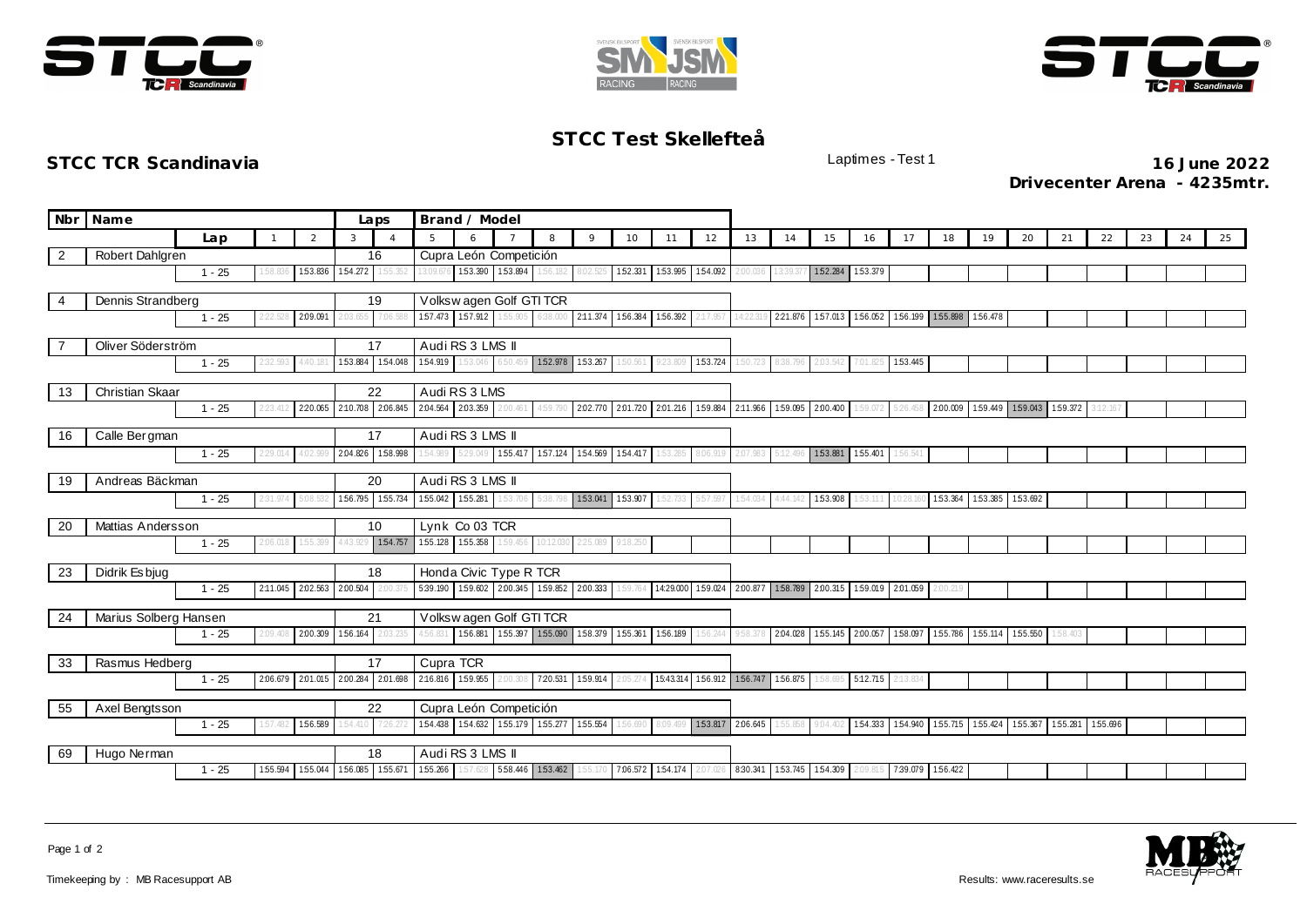





## **STCC Test Skellefteå**

**STCC TCR Scandinavia** Laptimes - Test 1 **16 June 2022 Drivecenter Arena - 4235mtr.**

|                               | Nbr Name                                           |          |          | Laps     | Brand / Model |                               |                            |                                     |                                              |                                              |                                              |                   |                   |          |          |                            |                  |                 |                            |                         |                         |                                                         |         |          |    |    |    |
|-------------------------------|----------------------------------------------------|----------|----------|----------|---------------|-------------------------------|----------------------------|-------------------------------------|----------------------------------------------|----------------------------------------------|----------------------------------------------|-------------------|-------------------|----------|----------|----------------------------|------------------|-----------------|----------------------------|-------------------------|-------------------------|---------------------------------------------------------|---------|----------|----|----|----|
|                               |                                                    | Lap      |          | 2        | 3             | $\Delta$                      | 5                          | 6                                   |                                              | 8                                            | $\circ$                                      | 10                | 11                | 12       | 13       | 14                         | 15               | 16              | 17                         | 18                      | 19                      | 20                                                      | 21      | 22       | 23 | 24 | 25 |
| $\overline{2}$                | Robert Dahlgren                                    |          |          |          | 16            |                               |                            | Cupra León Competición              |                                              |                                              |                                              |                   |                   |          |          |                            |                  |                 |                            |                         |                         |                                                         |         |          |    |    |    |
|                               |                                                    | $1 - 25$ | :58.83   | 153.836  | 154.272       | 1:55.352                      | 3:09.67                    |                                     | 153.390 153.894                              | 1:56.182                                     | 8:02.525                                     | 1:52.331          | 153.995 154.092   |          | 2:00.036 | 13:39.37                   | 152.284          | 153.379         |                            |                         |                         |                                                         |         |          |    |    |    |
| $\overline{4}$                | Dennis Strandberg                                  |          |          |          |               | Volkswagen Golf GTI TCR<br>19 |                            |                                     |                                              |                                              |                                              |                   |                   |          |          |                            |                  |                 |                            |                         |                         |                                                         |         |          |    |    |    |
|                               | 2:09.091<br>$1 - 25$                               |          |          |          | 2:03.655      | 7:06.58                       |                            |                                     | 157.473 157.912 155.905                      | 6:38.000                                     | 2:11.374                                     | 1:56.384          | 156.392           | :17.957  | 14:22.1  |                            | 221.876 157.013  |                 |                            | 156.052 156.199 155.898 | 156.478                 |                                                         |         |          |    |    |    |
|                               |                                                    |          |          |          |               |                               |                            |                                     |                                              |                                              |                                              |                   |                   |          |          |                            |                  |                 |                            |                         |                         |                                                         |         |          |    |    |    |
|                               | Oliver Söderström                                  |          |          |          |               | 17                            |                            | Audi RS 3 LMS II<br>154.919 153.046 |                                              | 152.978 153.267                              |                                              |                   |                   |          |          |                            |                  |                 |                            |                         |                         |                                                         |         |          |    |    |    |
|                               | $1 - 25$<br>4:40.18<br>32.593                      |          |          |          |               | 153.884 154.048               |                            |                                     | 6:50.459                                     |                                              |                                              | 50.561            | 9:23.809          | 1:53.724 | 50.723   | 338.796                    | 2:03.542         | 7:01.825        | 153.445                    |                         |                         |                                                         |         |          |    |    |    |
| 13                            | <b>Christian Skaar</b>                             |          |          |          |               | 22                            |                            | Audi RS 3 LMS                       |                                              |                                              |                                              |                   |                   |          |          |                            |                  |                 |                            |                         |                         |                                                         |         |          |    |    |    |
|                               |                                                    | $1 - 25$ | 2:23.41. |          |               | 2:20.065 2:10.708 2:06.845    | 2.04.564 2.03.359 2.00.461 |                                     |                                              | 1:59.790                                     | 2.02.770 2.01.720 2.01.216 1.59.884 2.11.966 |                   |                   |          |          |                            | 159.095 2.00.400 | 1:59.072        | 5:26.458                   | 2:00.009                |                         | 1.59.449 1.59.043 1.59.372                              |         | 3:12.167 |    |    |    |
| 16                            | Calle Bergman                                      |          |          |          | 17            |                               | Audi RS 3 LMS II           |                                     |                                              |                                              |                                              |                   |                   |          |          |                            |                  |                 |                            |                         |                         |                                                         |         |          |    |    |    |
|                               |                                                    | $1 - 25$ | 29.01    | 4.02.9   |               | 2.04.826 1.58.998             |                            |                                     | 154.989 5:29.049 155.417                     |                                              | 157.124 1.54.569 1.54.417                    |                   |                   | 3:06.919 | 2:07.983 |                            |                  | 153.881 155.401 | 1:56.541                   |                         |                         |                                                         |         |          |    |    |    |
|                               |                                                    |          |          |          |               |                               |                            |                                     |                                              |                                              |                                              |                   |                   |          |          |                            |                  |                 |                            |                         |                         |                                                         |         |          |    |    |    |
| 19                            | Andreas Bäckman                                    |          |          |          |               | 20                            |                            | Audi RS 3 LMS II                    |                                              |                                              |                                              |                   |                   |          |          |                            |                  |                 |                            |                         |                         |                                                         |         |          |    |    |    |
|                               |                                                    | $1 - 25$ | 31.974   | 5:08     |               | 156.795 155.734               |                            | 155.042 155.281 153.706             |                                              |                                              | 153.041 153.907                              |                   | 1:52.733          | 57.597   | 1:54.034 | 4:44.142                   | 153.908          | 1:53.111        | 10:28.16                   |                         | 153.364 153.385 153.692 |                                                         |         |          |    |    |    |
| 20                            | Mattias Andersson                                  |          |          |          |               | 10                            |                            | Lynk Co 03 TCR                      |                                              |                                              |                                              |                   |                   |          |          |                            |                  |                 |                            |                         |                         |                                                         |         |          |    |    |    |
|                               |                                                    | $1 - 25$ | 2:06.018 | 1:55.399 | 4:43.929      | 1:54.757                      | 155.128 155.358 159.456    |                                     |                                              | 10:12.03                                     | 2:25.089                                     | 9:18.250          |                   |          |          |                            |                  |                 |                            |                         |                         |                                                         |         |          |    |    |    |
| 23                            |                                                    |          |          |          |               | 18                            |                            |                                     | Honda Civic Type R TCR                       |                                              |                                              |                   |                   |          |          |                            |                  |                 |                            |                         |                         |                                                         |         |          |    |    |    |
|                               | Didrik Es bjug<br>2:11.045<br>2:02.563<br>$1 - 25$ |          |          | 2:00.504 | 2:00.37       |                               |                            |                                     | 5:39.190 1.59.602 2.00.345 1.59.852 2.00.333 |                                              | 1:59.764                                     | 14:29.000         | 1:59.024          |          |          | 2.00.877 1.58.789 2.00.315 | 1:59.019         | 2.01.059        | 2:00.219                   |                         |                         |                                                         |         |          |    |    |    |
|                               |                                                    |          |          |          |               |                               |                            |                                     |                                              |                                              |                                              |                   |                   |          |          |                            |                  |                 |                            |                         |                         |                                                         |         |          |    |    |    |
| 24                            | Marius Solberg Hansen                              |          |          |          |               | 21                            |                            |                                     | Volkswagen Golf GTI TCR                      |                                              |                                              |                   |                   |          |          |                            |                  |                 |                            |                         |                         |                                                         |         |          |    |    |    |
|                               |                                                    | $1 - 25$ | 2:09.408 | 2:00.309 | 1:56.164      | 2:03.235                      | 4:56.831                   |                                     |                                              | 156.881 155.397 155.090 158.379              |                                              | 1:55.361          | 1:56.189          | 56.244   | 9:58.37  | 2.04.028                   | 1:55.145         | 2:00.057        |                            | 158.097 155.786         | 155.114                 | 1:55.550                                                | :58.403 |          |    |    |    |
| 33                            | Rasmus Hedberg                                     |          |          |          |               | 17                            | Cupra TCR                  |                                     |                                              |                                              |                                              |                   |                   |          |          |                            |                  |                 |                            |                         |                         |                                                         |         |          |    |    |    |
|                               | 2.01.015<br>$1 - 25$<br>2:06.679                   |          |          |          |               | 2.00.284 2.01.698             | 2:16.816 159.955           |                                     | 2:00.308                                     | 720.531                                      | 159.914                                      | 2:05.27           | 15:43.314 156.912 |          | 156.747  | 156.875                    | 58.69            | 5:12.715        | 2:13.834                   |                         |                         |                                                         |         |          |    |    |    |
|                               |                                                    |          |          |          |               |                               |                            |                                     |                                              |                                              |                                              |                   |                   |          |          |                            |                  |                 |                            |                         |                         |                                                         |         |          |    |    |    |
|                               | 55<br>Axel Bengtsson                               |          |          |          | 54.410        | 22<br>726.27                  |                            |                                     | Cupra León Competición                       | 1.54.438 1.54.632 1.55.179 1.55.277 1.55.554 |                                              | 56.690            | 8:09.499          | 1:53.817 | 2.06.645 | 1:55.858                   |                  |                 |                            |                         |                         | 154.333 154.940 155.715 155.424 155.367 155.281 155.696 |         |          |    |    |    |
| 156.589<br>$1 - 25$<br>57.482 |                                                    |          |          |          |               |                               |                            |                                     |                                              |                                              |                                              |                   |                   |          |          |                            | 9:04.402         |                 |                            |                         |                         |                                                         |         |          |    |    |    |
| 69                            | Hugo Nerman                                        |          |          |          |               | 18                            |                            | Audi RS 3 LMS II                    |                                              |                                              |                                              |                   |                   |          |          |                            |                  |                 |                            |                         |                         |                                                         |         |          |    |    |    |
|                               |                                                    | $1 - 25$ | 1:55.594 | 1:55.044 |               | 156.085 155.671               | 155.266 157.628            |                                     |                                              | 558.446 153.462                              |                                              | 7.06.572 1.54.174 |                   | 2:07.026 | 8:30.341 |                            | 153.745 154.309  |                 | 2:09.815 7:39.079 1:56.422 |                         |                         |                                                         |         |          |    |    |    |
|                               |                                                    |          |          |          |               |                               |                            |                                     |                                              |                                              |                                              |                   |                   |          |          |                            |                  |                 |                            |                         |                         |                                                         |         |          |    |    |    |